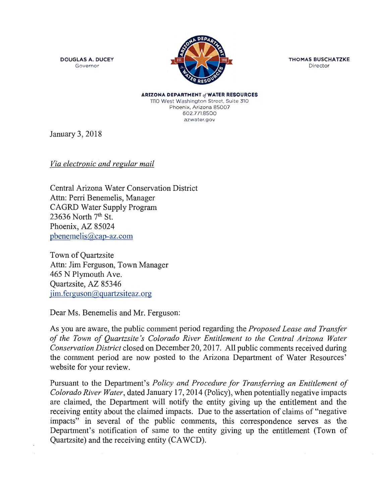**DOUGLAS A. DUCEY**  Governor



**THOMAS BUSCHATZKE**  Director

**ARIZONA DEPARTMENT of WATER RESOURCES** 1110 West Washington Street, Suite 310 Phoenix, Arizona 85007 602.771.8500 azwater.gov

January 3, 2018

*Via electronic and regular mail* 

Central Arizona Water Conservation District Attn: Perri Benemelis, Manager CAGRD Water Supply Program 23636 North  $7<sup>th</sup>$  St. Phoenix, AZ 85024 pbenemelis@cap-az.com

Town of Quartzsite Attn: Jim Ferguson, Town Manager 465 N Plymouth Ave. Quartzsite, AZ 85346  $j$ im. ferguson $@$ quartzsiteaz.org

Dear Ms. Benemelis and Mr. Ferguson:

As you are aware, the public comment period regarding the *Proposed Lease and Transfer of the Town of Quartzsite 's Colorado River Entitlement to the Central Arizona Water Conservation District* closed on December 20, 2017. All public comments received during the comment period are now posted to the Arizona Department of Water Resources' website for your review.

Pursuant to the Department's *Policy and Procedure for Transferring an Entitlement of Colorado River Water,* dated January 17, 2014 (Policy), when potentially negative impacts are claimed, the Department will notify the entity giving up the entitlement and the receiving entity about the claimed impacts. Due to the assertation of claims of "negative impacts" in several of the public comments, this correspondence serves as the Department's notification of same to the entity giving up the entitlement (Town of Quartzsite) and the receiving entity (CA WCD).